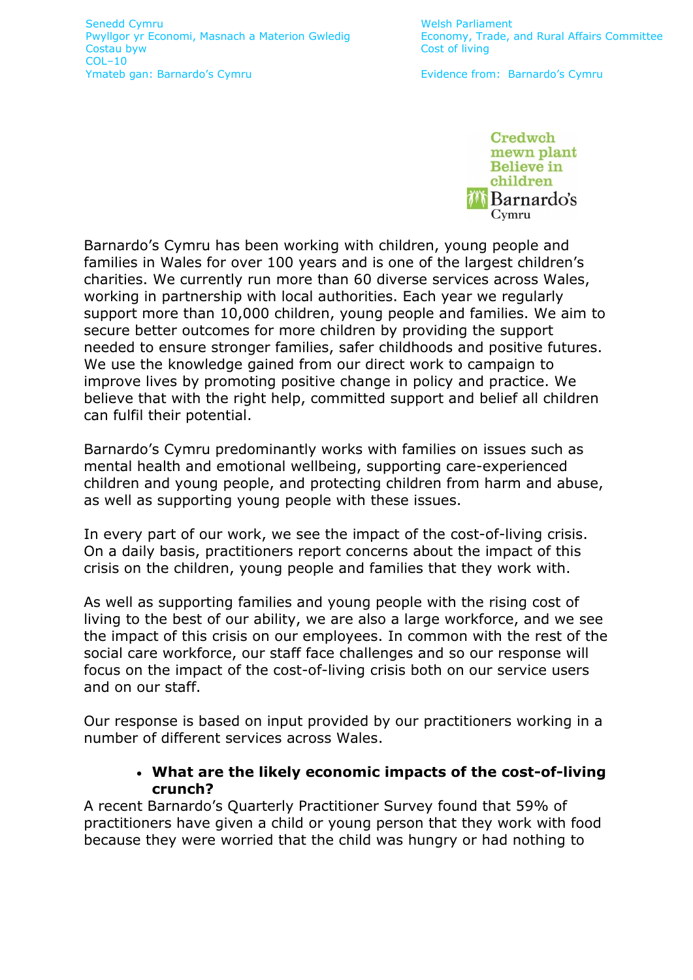

Barnardo's Cymru has been working with children, young people and families in Wales for over 100 years and is one of the largest children's charities. We currently run more than 60 diverse services across Wales, working in partnership with local authorities. Each year we regularly support more than 10,000 children, young people and families. We aim to secure better outcomes for more children by providing the support needed to ensure stronger families, safer childhoods and positive futures. We use the knowledge gained from our direct work to campaign to improve lives by promoting positive change in policy and practice. We believe that with the right help, committed support and belief all children can fulfil their potential.

Barnardo's Cymru predominantly works with families on issues such as mental health and emotional wellbeing, supporting care-experienced children and young people, and protecting children from harm and abuse, as well as supporting young people with these issues.

In every part of our work, we see the impact of the cost-of-living crisis. On a daily basis, practitioners report concerns about the impact of this crisis on the children, young people and families that they work with.

As well as supporting families and young people with the rising cost of living to the best of our ability, we are also a large workforce, and we see the impact of this crisis on our employees. In common with the rest of the social care workforce, our staff face challenges and so our response will focus on the impact of the cost-of-living crisis both on our service users and on our staff.

Our response is based on input provided by our practitioners working in a number of different services across Wales.

# • **What are the likely economic impacts of the cost-of-living crunch?**

A recent Barnardo's Quarterly Practitioner Survey found that 59% of practitioners have given a child or young person that they work with food because they were worried that the child was hungry or had nothing to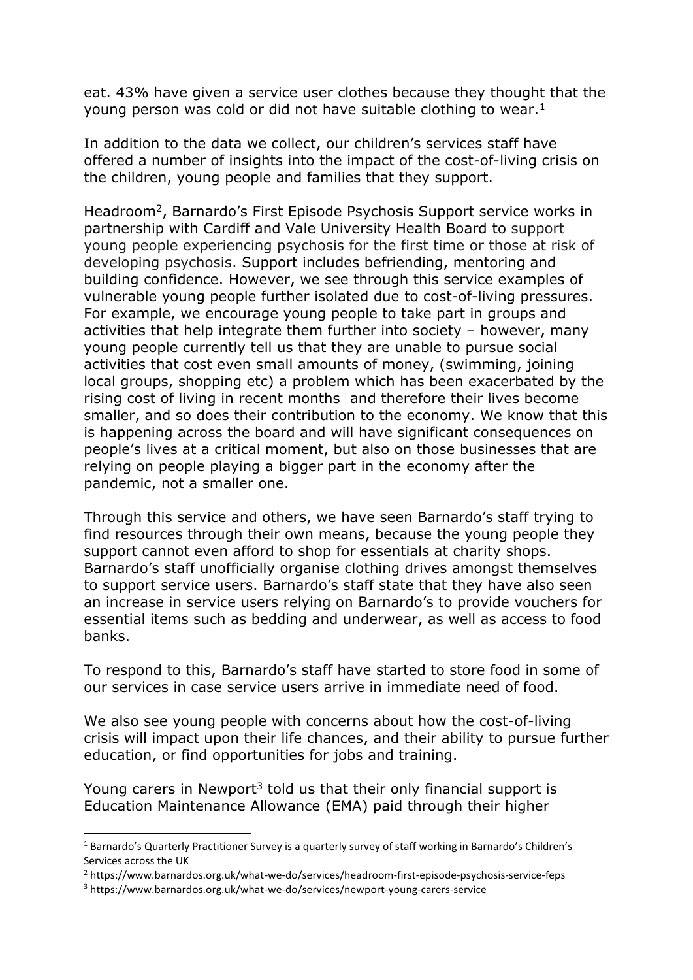eat. 43% have given a service user clothes because they thought that the young person was cold or did not have suitable clothing to wear.<sup>1</sup>

In addition to the data we collect, our children's services staff have offered a number of insights into the impact of the cost-of-living crisis on the children, young people and families that they support.

Headroom<sup>2</sup>, Barnardo's First Episode Psychosis Support service works in partnership with Cardiff and Vale University Health Board to support young people experiencing psychosis for the first time or those at risk of developing psychosis. Support includes befriending, mentoring and building confidence. However, we see through this service examples of vulnerable young people further isolated due to cost-of-living pressures. For example, we encourage young people to take part in groups and activities that help integrate them further into society – however, many young people currently tell us that they are unable to pursue social activities that cost even small amounts of money, (swimming, joining local groups, shopping etc) a problem which has been exacerbated by the rising cost of living in recent months and therefore their lives become smaller, and so does their contribution to the economy. We know that this is happening across the board and will have significant consequences on people's lives at a critical moment, but also on those businesses that are relying on people playing a bigger part in the economy after the pandemic, not a smaller one.

Through this service and others, we have seen Barnardo's staff trying to find resources through their own means, because the young people they support cannot even afford to shop for essentials at charity shops. Barnardo's staff unofficially organise clothing drives amongst themselves to support service users. Barnardo's staff state that they have also seen an increase in service users relying on Barnardo's to provide vouchers for essential items such as bedding and underwear, as well as access to food banks.

To respond to this, Barnardo's staff have started to store food in some of our services in case service users arrive in immediate need of food.

We also see young people with concerns about how the cost-of-living crisis will impact upon their life chances, and their ability to pursue further education, or find opportunities for jobs and training.

Young carers in Newport<sup>3</sup> told us that their only financial support is Education Maintenance Allowance (EMA) paid through their higher

<sup>2</sup> https://www.barnardos.org.uk/what-we-do/services/headroom-first-episode-psychosis-service-feps

<sup>&</sup>lt;sup>1</sup> Barnardo's Quarterly Practitioner Survey is a quarterly survey of staff working in Barnardo's Children's Services across the UK

<sup>3</sup> https://www.barnardos.org.uk/what-we-do/services/newport-young-carers-service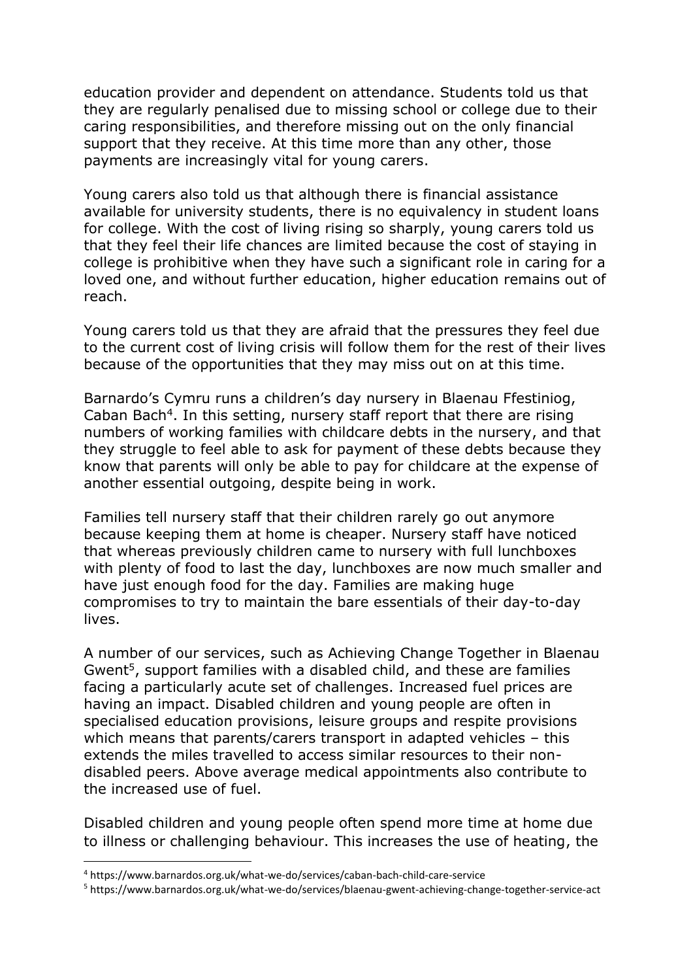education provider and dependent on attendance. Students told us that they are regularly penalised due to missing school or college due to their caring responsibilities, and therefore missing out on the only financial support that they receive. At this time more than any other, those payments are increasingly vital for young carers.

Young carers also told us that although there is financial assistance available for university students, there is no equivalency in student loans for college. With the cost of living rising so sharply, young carers told us that they feel their life chances are limited because the cost of staying in college is prohibitive when they have such a significant role in caring for a loved one, and without further education, higher education remains out of reach.

Young carers told us that they are afraid that the pressures they feel due to the current cost of living crisis will follow them for the rest of their lives because of the opportunities that they may miss out on at this time.

Barnardo's Cymru runs a children's day nursery in Blaenau Ffestiniog, Caban Bach<sup>4</sup>. In this setting, nursery staff report that there are rising numbers of working families with childcare debts in the nursery, and that they struggle to feel able to ask for payment of these debts because they know that parents will only be able to pay for childcare at the expense of another essential outgoing, despite being in work.

Families tell nursery staff that their children rarely go out anymore because keeping them at home is cheaper. Nursery staff have noticed that whereas previously children came to nursery with full lunchboxes with plenty of food to last the day, lunchboxes are now much smaller and have just enough food for the day. Families are making huge compromises to try to maintain the bare essentials of their day-to-day lives.

A number of our services, such as Achieving Change Together in Blaenau Gwent<sup>5</sup>, support families with a disabled child, and these are families facing a particularly acute set of challenges. Increased fuel prices are having an impact. Disabled children and young people are often in specialised education provisions, leisure groups and respite provisions which means that parents/carers transport in adapted vehicles – this extends the miles travelled to access similar resources to their nondisabled peers. Above average medical appointments also contribute to the increased use of fuel.

Disabled children and young people often spend more time at home due to illness or challenging behaviour. This increases the use of heating, the

<sup>4</sup> https://www.barnardos.org.uk/what-we-do/services/caban-bach-child-care-service

<sup>5</sup> https://www.barnardos.org.uk/what-we-do/services/blaenau-gwent-achieving-change-together-service-act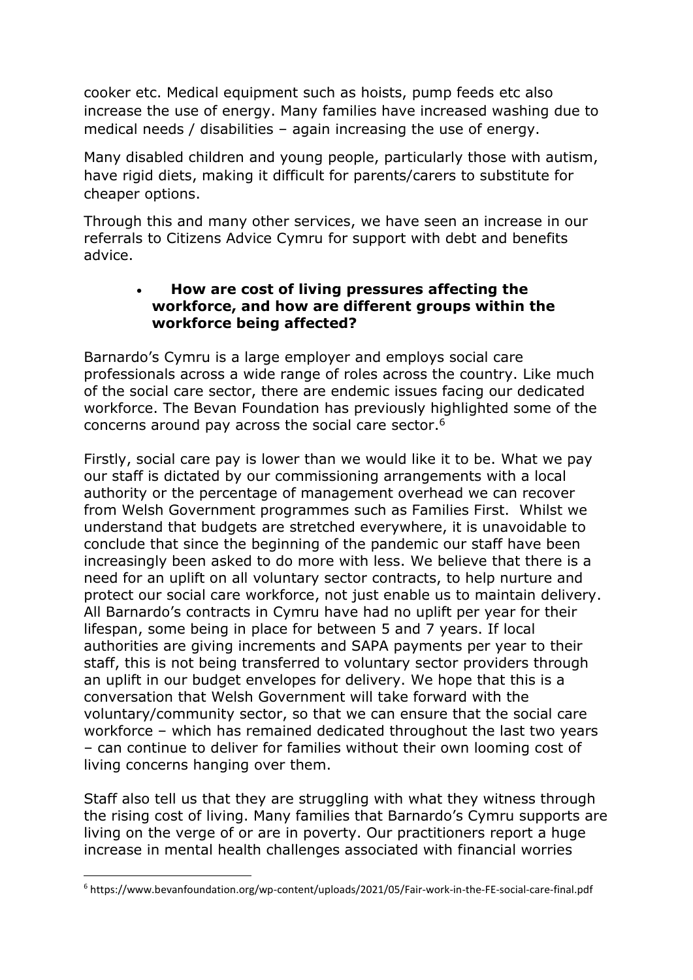cooker etc. Medical equipment such as hoists, pump feeds etc also increase the use of energy. Many families have increased washing due to medical needs / disabilities – again increasing the use of energy.

Many disabled children and young people, particularly those with autism, have rigid diets, making it difficult for parents/carers to substitute for cheaper options.

Through this and many other services, we have seen an increase in our referrals to Citizens Advice Cymru for support with debt and benefits advice.

# • **How are cost of living pressures affecting the workforce, and how are different groups within the workforce being affected?**

Barnardo's Cymru is a large employer and employs social care professionals across a wide range of roles across the country. Like much of the social care sector, there are endemic issues facing our dedicated workforce. The Bevan Foundation has previously highlighted some of the concerns around pay across the social care sector.<sup>6</sup>

Firstly, social care pay is lower than we would like it to be. What we pay our staff is dictated by our commissioning arrangements with a local authority or the percentage of management overhead we can recover from Welsh Government programmes such as Families First. Whilst we understand that budgets are stretched everywhere, it is unavoidable to conclude that since the beginning of the pandemic our staff have been increasingly been asked to do more with less. We believe that there is a need for an uplift on all voluntary sector contracts, to help nurture and protect our social care workforce, not just enable us to maintain delivery. All Barnardo's contracts in Cymru have had no uplift per year for their lifespan, some being in place for between 5 and 7 years. If local authorities are giving increments and SAPA payments per year to their staff, this is not being transferred to voluntary sector providers through an uplift in our budget envelopes for delivery. We hope that this is a conversation that Welsh Government will take forward with the voluntary/community sector, so that we can ensure that the social care workforce – which has remained dedicated throughout the last two years – can continue to deliver for families without their own looming cost of living concerns hanging over them.

Staff also tell us that they are struggling with what they witness through the rising cost of living. Many families that Barnardo's Cymru supports are living on the verge of or are in poverty. Our practitioners report a huge increase in mental health challenges associated with financial worries

<sup>6</sup> https://www.bevanfoundation.org/wp-content/uploads/2021/05/Fair-work-in-the-FE-social-care-final.pdf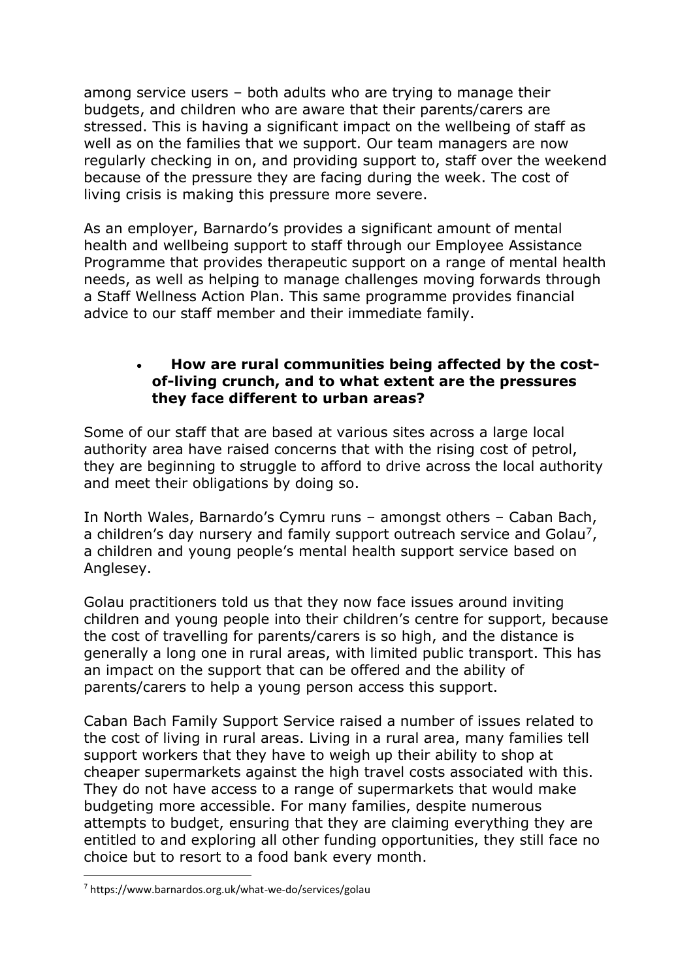among service users – both adults who are trying to manage their budgets, and children who are aware that their parents/carers are stressed. This is having a significant impact on the wellbeing of staff as well as on the families that we support. Our team managers are now regularly checking in on, and providing support to, staff over the weekend because of the pressure they are facing during the week. The cost of living crisis is making this pressure more severe.

As an employer, Barnardo's provides a significant amount of mental health and wellbeing support to staff through our Employee Assistance Programme that provides therapeutic support on a range of mental health needs, as well as helping to manage challenges moving forwards through a Staff Wellness Action Plan. This same programme provides financial advice to our staff member and their immediate family.

# • **How are rural communities being affected by the costof-living crunch, and to what extent are the pressures they face different to urban areas?**

Some of our staff that are based at various sites across a large local authority area have raised concerns that with the rising cost of petrol, they are beginning to struggle to afford to drive across the local authority and meet their obligations by doing so.

In North Wales, Barnardo's Cymru runs – amongst others – Caban Bach, a children's day nursery and family support outreach service and Golau<sup>7</sup>, a children and young people's mental health support service based on Anglesey.

Golau practitioners told us that they now face issues around inviting children and young people into their children's centre for support, because the cost of travelling for parents/carers is so high, and the distance is generally a long one in rural areas, with limited public transport. This has an impact on the support that can be offered and the ability of parents/carers to help a young person access this support.

Caban Bach Family Support Service raised a number of issues related to the cost of living in rural areas. Living in a rural area, many families tell support workers that they have to weigh up their ability to shop at cheaper supermarkets against the high travel costs associated with this. They do not have access to a range of supermarkets that would make budgeting more accessible. For many families, despite numerous attempts to budget, ensuring that they are claiming everything they are entitled to and exploring all other funding opportunities, they still face no choice but to resort to a food bank every month.

<sup>7</sup> https://www.barnardos.org.uk/what-we-do/services/golau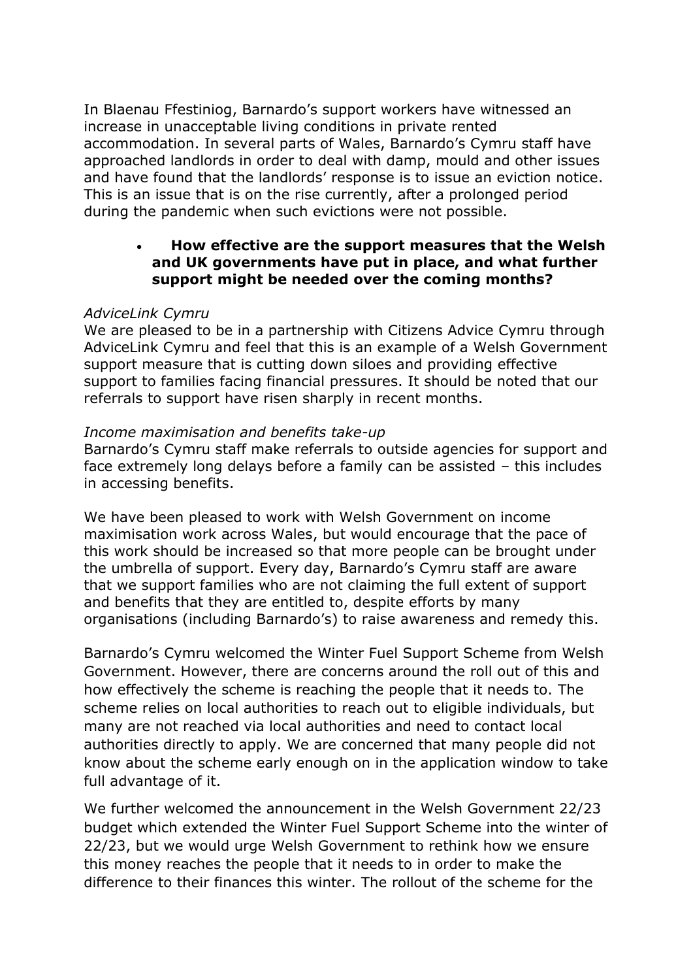In Blaenau Ffestiniog, Barnardo's support workers have witnessed an increase in unacceptable living conditions in private rented accommodation. In several parts of Wales, Barnardo's Cymru staff have approached landlords in order to deal with damp, mould and other issues and have found that the landlords' response is to issue an eviction notice. This is an issue that is on the rise currently, after a prolonged period during the pandemic when such evictions were not possible.

# • **How effective are the support measures that the Welsh and UK governments have put in place, and what further support might be needed over the coming months?**

#### *AdviceLink Cymru*

We are pleased to be in a partnership with Citizens Advice Cymru through AdviceLink Cymru and feel that this is an example of a Welsh Government support measure that is cutting down siloes and providing effective support to families facing financial pressures. It should be noted that our referrals to support have risen sharply in recent months.

#### *Income maximisation and benefits take-up*

Barnardo's Cymru staff make referrals to outside agencies for support and face extremely long delays before a family can be assisted – this includes in accessing benefits.

We have been pleased to work with Welsh Government on income maximisation work across Wales, but would encourage that the pace of this work should be increased so that more people can be brought under the umbrella of support. Every day, Barnardo's Cymru staff are aware that we support families who are not claiming the full extent of support and benefits that they are entitled to, despite efforts by many organisations (including Barnardo's) to raise awareness and remedy this.

Barnardo's Cymru welcomed the Winter Fuel Support Scheme from Welsh Government. However, there are concerns around the roll out of this and how effectively the scheme is reaching the people that it needs to. The scheme relies on local authorities to reach out to eligible individuals, but many are not reached via local authorities and need to contact local authorities directly to apply. We are concerned that many people did not know about the scheme early enough on in the application window to take full advantage of it.

We further welcomed the announcement in the Welsh Government 22/23 budget which extended the Winter Fuel Support Scheme into the winter of 22/23, but we would urge Welsh Government to rethink how we ensure this money reaches the people that it needs to in order to make the difference to their finances this winter. The rollout of the scheme for the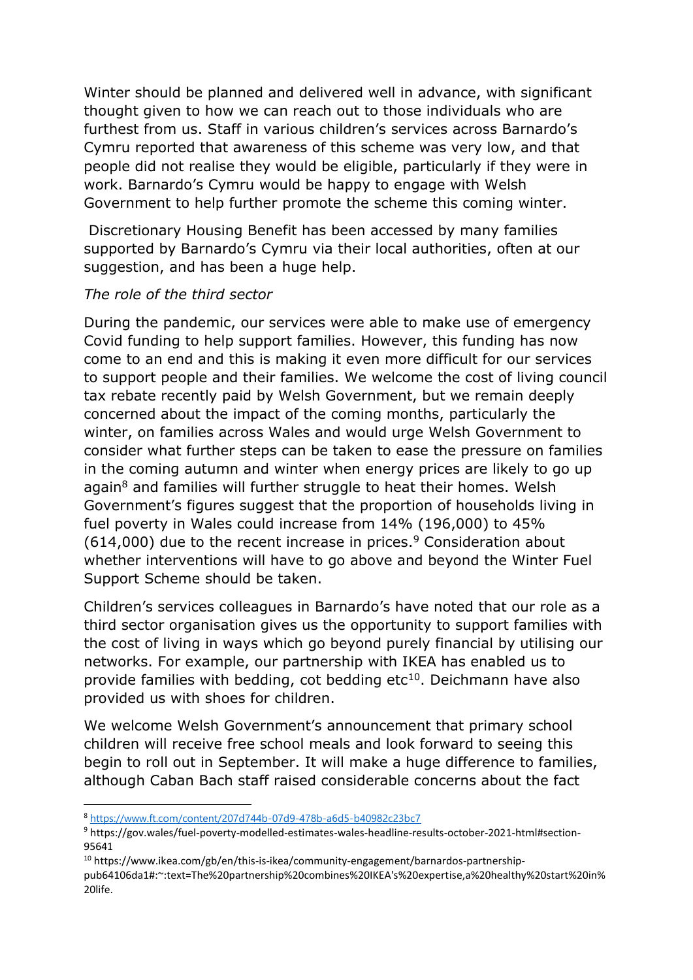Winter should be planned and delivered well in advance, with significant thought given to how we can reach out to those individuals who are furthest from us. Staff in various children's services across Barnardo's Cymru reported that awareness of this scheme was very low, and that people did not realise they would be eligible, particularly if they were in work. Barnardo's Cymru would be happy to engage with Welsh Government to help further promote the scheme this coming winter.

Discretionary Housing Benefit has been accessed by many families supported by Barnardo's Cymru via their local authorities, often at our suggestion, and has been a huge help.

### *The role of the third sector*

During the pandemic, our services were able to make use of emergency Covid funding to help support families. However, this funding has now come to an end and this is making it even more difficult for our services to support people and their families. We welcome the cost of living council tax rebate recently paid by Welsh Government, but we remain deeply concerned about the impact of the coming months, particularly the winter, on families across Wales and would urge Welsh Government to consider what further steps can be taken to ease the pressure on families in the coming autumn and winter when energy prices are likely to go up again<sup>8</sup> and families will further struggle to heat their homes. Welsh Government's figures suggest that the proportion of households living in fuel poverty in Wales could increase from 14% (196,000) to 45%  $(614,000)$  due to the recent increase in prices.<sup>9</sup> Consideration about whether interventions will have to go above and beyond the Winter Fuel Support Scheme should be taken.

Children's services colleagues in Barnardo's have noted that our role as a third sector organisation gives us the opportunity to support families with the cost of living in ways which go beyond purely financial by utilising our networks. For example, our partnership with IKEA has enabled us to provide families with bedding, cot bedding  $etc<sup>10</sup>$ . Deichmann have also provided us with shoes for children.

We welcome Welsh Government's announcement that primary school children will receive free school meals and look forward to seeing this begin to roll out in September. It will make a huge difference to families, although Caban Bach staff raised considerable concerns about the fact

<sup>8</sup> <https://www.ft.com/content/207d744b-07d9-478b-a6d5-b40982c23bc7>

<sup>9</sup> https://gov.wales/fuel-poverty-modelled-estimates-wales-headline-results-october-2021-html#section-95641

<sup>&</sup>lt;sup>10</sup> https://www.ikea.com/gb/en/this-is-ikea/community-engagement/barnardos-partnership-

pub64106da1#:~:text=The%20partnership%20combines%20IKEA's%20expertise,a%20healthy%20start%20in% 20life.